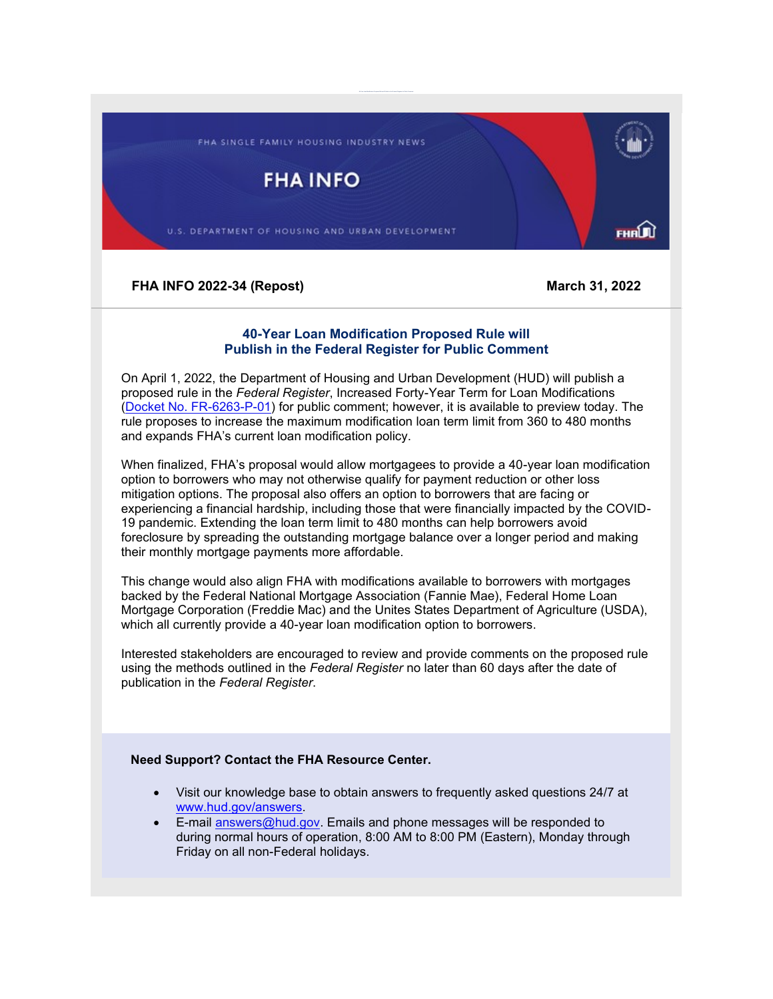FHA SINGLE FAMILY HOUSING INDUSTRY NEWS

**FHA INFO** 

U.S. DEPARTMENT OF HOUSING AND URBAN DEVELOPMENT

FHAU)

**FHA INFO 2022-34 (Repost) March 31, 2022**

## **40-Year Loan Modification Proposed Rule will Publish in the Federal Register for Public Comment**

On April 1, 2022, the Department of Housing and Urban Development (HUD) will publish a proposed rule in the *Federal Register*, Increased Forty-Year Term for Loan Modifications [\(Docket No. FR-6263-P-01\)](https://lnks.gd/l/eyJhbGciOiJIUzI1NiJ9.eyJidWxsZXRpbl9saW5rX2lkIjoxMDAsInVyaSI6ImJwMjpjbGljayIsImJ1bGxldGluX2lkIjoiMjAyMjAzMzEuNTU3NTk0OTEiLCJ1cmwiOiJodHRwczovL3d3dy5mZWRlcmFscmVnaXN0ZXIuZ292L3B1YmxpYy1pbnNwZWN0aW9uLzIwMjItMDY4NzUvaW5jcmVhc2VkLWZvcnR5LXllYXItdGVybS1mb3ItbG9hbi1tb2RpZmljYXRpb25zP3V0bV9tZWRpdW09ZW1haWwmdXRtX3NvdXJjZT1nb3ZkZWxpdmVyeSJ9._OsgTxlKUgizGrxMAVl3Fklj2OKKMNQdMug4Zd3q0WQ/s/1842989479/br/128976905353-l) for public comment; however, it is available to preview today. The rule proposes to increase the maximum modification loan term limit from 360 to 480 months and expands FHA's current loan modification policy.

When finalized, FHA's proposal would allow mortgagees to provide a 40-year loan modification option to borrowers who may not otherwise qualify for payment reduction or other loss mitigation options. The proposal also offers an option to borrowers that are facing or experiencing a financial hardship, including those that were financially impacted by the COVID-19 pandemic. Extending the loan term limit to 480 months can help borrowers avoid foreclosure by spreading the outstanding mortgage balance over a longer period and making their monthly mortgage payments more affordable.

This change would also align FHA with modifications available to borrowers with mortgages backed by the Federal National Mortgage Association (Fannie Mae), Federal Home Loan Mortgage Corporation (Freddie Mac) and the Unites States Department of Agriculture (USDA), which all currently provide a 40-year loan modification option to borrowers.

Interested stakeholders are encouraged to review and provide comments on the proposed rule using the methods outlined in the *Federal Register* no later than 60 days after the date of publication in the *Federal Register*.

## **Need Support? Contact the FHA Resource Center.**

- Visit our knowledge base to obtain answers to frequently asked questions 24/7 at [www.hud.gov/answers.](http://www.hud.gov/answers)
- E-mail [answers@hud.gov.](mailto:answers@hud.gov) Emails and phone messages will be responded to during normal hours of operation, 8:00 AM to 8:00 PM (Eastern), Monday through Friday on all non-Federal holidays.